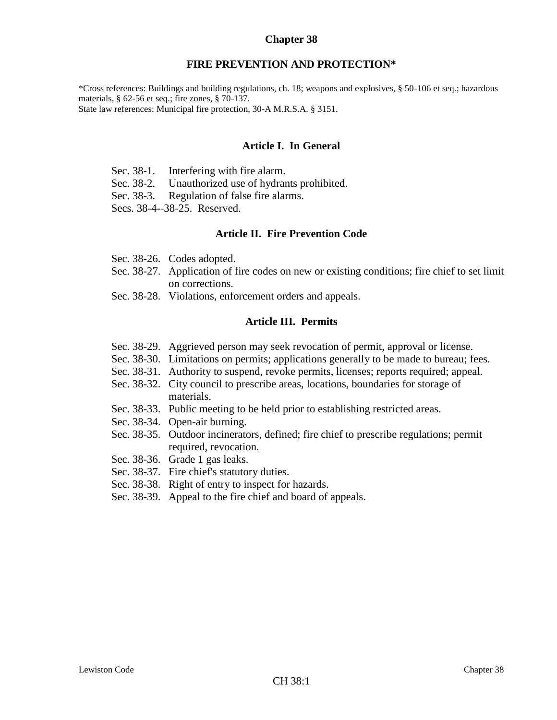### **Chapter 38**

#### **FIRE PREVENTION AND PROTECTION\***

\*Cross references: Buildings and building regulations, ch. 18; weapons and explosives, § 50-106 et seq.; hazardous materials, § 62-56 et seq.; fire zones, § 70-137. State law references: Municipal fire protection, 30-A M.R.S.A. § 3151.

#### **Article I. In General**

- Sec. 38-1. Interfering with fire alarm.
- Sec. 38-2. Unauthorized use of hydrants prohibited.
- Sec. 38-3. Regulation of false fire alarms.
- Secs. 38-4--38-25. Reserved.

#### **Article II. Fire Prevention Code**

- Sec. 38-26. Codes adopted.
- Sec. 38-27. Application of fire codes on new or existing conditions; fire chief to set limit on corrections.
- Sec. 38-28. Violations, enforcement orders and appeals.

#### **Article III. Permits**

- Sec. 38-29. Aggrieved person may seek revocation of permit, approval or license.
- Sec. 38-30. Limitations on permits; applications generally to be made to bureau; fees.
- Sec. 38-31. Authority to suspend, revoke permits, licenses; reports required; appeal.
- Sec. 38-32. City council to prescribe areas, locations, boundaries for storage of materials.
- Sec. 38-33. Public meeting to be held prior to establishing restricted areas.
- Sec. 38-34. Open-air burning.
- Sec. 38-35. Outdoor incinerators, defined; fire chief to prescribe regulations; permit required, revocation.
- Sec. 38-36. Grade 1 gas leaks.
- Sec. 38-37. Fire chief's statutory duties.
- Sec. 38-38. Right of entry to inspect for hazards.
- Sec. 38-39. Appeal to the fire chief and board of appeals.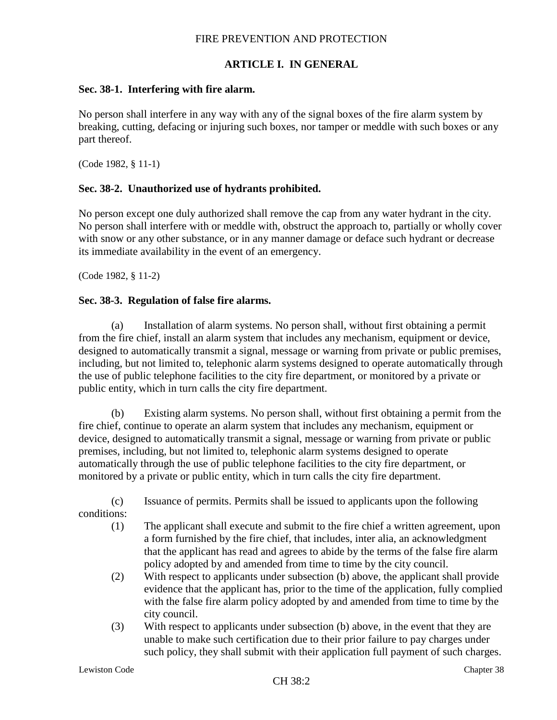# **ARTICLE I. IN GENERAL**

#### **Sec. 38-1. Interfering with fire alarm.**

No person shall interfere in any way with any of the signal boxes of the fire alarm system by breaking, cutting, defacing or injuring such boxes, nor tamper or meddle with such boxes or any part thereof.

(Code 1982, § 11-1)

### **Sec. 38-2. Unauthorized use of hydrants prohibited.**

No person except one duly authorized shall remove the cap from any water hydrant in the city. No person shall interfere with or meddle with, obstruct the approach to, partially or wholly cover with snow or any other substance, or in any manner damage or deface such hydrant or decrease its immediate availability in the event of an emergency.

(Code 1982, § 11-2)

#### **Sec. 38-3. Regulation of false fire alarms.**

(a) Installation of alarm systems. No person shall, without first obtaining a permit from the fire chief, install an alarm system that includes any mechanism, equipment or device, designed to automatically transmit a signal, message or warning from private or public premises, including, but not limited to, telephonic alarm systems designed to operate automatically through the use of public telephone facilities to the city fire department, or monitored by a private or public entity, which in turn calls the city fire department.

(b) Existing alarm systems. No person shall, without first obtaining a permit from the fire chief, continue to operate an alarm system that includes any mechanism, equipment or device, designed to automatically transmit a signal, message or warning from private or public premises, including, but not limited to, telephonic alarm systems designed to operate automatically through the use of public telephone facilities to the city fire department, or monitored by a private or public entity, which in turn calls the city fire department.

(c) Issuance of permits. Permits shall be issued to applicants upon the following

conditions:

- (1) The applicant shall execute and submit to the fire chief a written agreement, upon a form furnished by the fire chief, that includes, inter alia, an acknowledgment that the applicant has read and agrees to abide by the terms of the false fire alarm policy adopted by and amended from time to time by the city council.
- (2) With respect to applicants under subsection (b) above, the applicant shall provide evidence that the applicant has, prior to the time of the application, fully complied with the false fire alarm policy adopted by and amended from time to time by the city council.
- (3) With respect to applicants under subsection (b) above, in the event that they are unable to make such certification due to their prior failure to pay charges under such policy, they shall submit with their application full payment of such charges.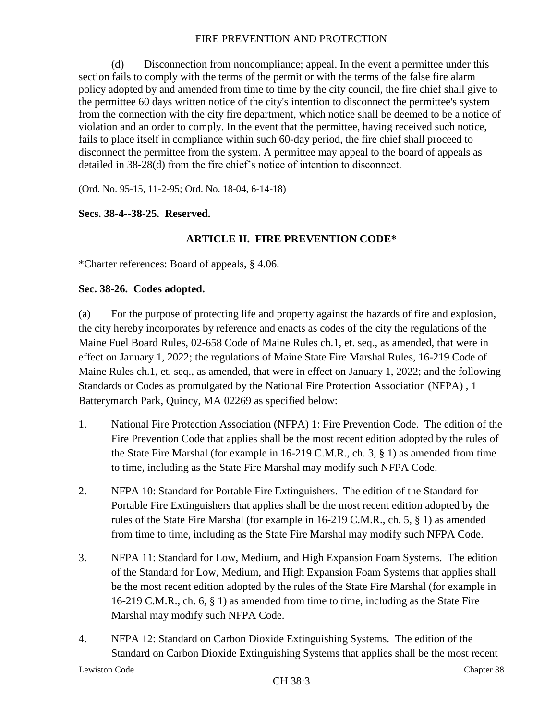(d) Disconnection from noncompliance; appeal. In the event a permittee under this section fails to comply with the terms of the permit or with the terms of the false fire alarm policy adopted by and amended from time to time by the city council, the fire chief shall give to the permittee 60 days written notice of the city's intention to disconnect the permittee's system from the connection with the city fire department, which notice shall be deemed to be a notice of violation and an order to comply. In the event that the permittee, having received such notice, fails to place itself in compliance within such 60-day period, the fire chief shall proceed to disconnect the permittee from the system. A permittee may appeal to the board of appeals as detailed in 38-28(d) from the fire chief's notice of intention to disconnect.

(Ord. No. 95-15, 11-2-95; Ord. No. 18-04, 6-14-18)

### **Secs. 38-4--38-25. Reserved.**

## **ARTICLE II. FIRE PREVENTION CODE\***

\*Charter references: Board of appeals, § 4.06.

### **Sec. 38-26. Codes adopted.**

(a) For the purpose of protecting life and property against the hazards of fire and explosion, the city hereby incorporates by reference and enacts as codes of the city the regulations of the Maine Fuel Board Rules, 02-658 Code of Maine Rules ch.1, et. seq., as amended, that were in effect on January 1, 2022; the regulations of Maine State Fire Marshal Rules, 16-219 Code of Maine Rules ch.1, et. seq., as amended, that were in effect on January 1, 2022; and the following Standards or Codes as promulgated by the National Fire Protection Association (NFPA) , 1 Batterymarch Park, Quincy, MA 02269 as specified below:

- 1. National Fire Protection Association (NFPA) 1: Fire Prevention Code. The edition of the Fire Prevention Code that applies shall be the most recent edition adopted by the rules of the State Fire Marshal (for example in 16-219 C.M.R., ch. 3, § 1) as amended from time to time, including as the State Fire Marshal may modify such NFPA Code.
- 2. NFPA 10: Standard for Portable Fire Extinguishers. The edition of the Standard for Portable Fire Extinguishers that applies shall be the most recent edition adopted by the rules of the State Fire Marshal (for example in 16-219 C.M.R., ch. 5, § 1) as amended from time to time, including as the State Fire Marshal may modify such NFPA Code.
- 3. NFPA 11: Standard for Low, Medium, and High Expansion Foam Systems. The edition of the Standard for Low, Medium, and High Expansion Foam Systems that applies shall be the most recent edition adopted by the rules of the State Fire Marshal (for example in 16-219 C.M.R., ch. 6, § 1) as amended from time to time, including as the State Fire Marshal may modify such NFPA Code.
- 4. NFPA 12: Standard on Carbon Dioxide Extinguishing Systems. The edition of the Standard on Carbon Dioxide Extinguishing Systems that applies shall be the most recent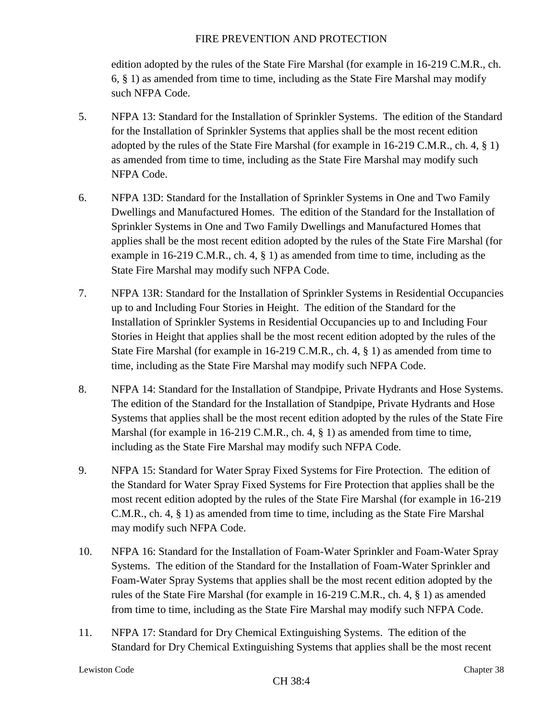edition adopted by the rules of the State Fire Marshal (for example in 16-219 C.M.R., ch. 6, § 1) as amended from time to time, including as the State Fire Marshal may modify such NFPA Code.

- 5. NFPA 13: Standard for the Installation of Sprinkler Systems. The edition of the Standard for the Installation of Sprinkler Systems that applies shall be the most recent edition adopted by the rules of the State Fire Marshal (for example in 16-219 C.M.R., ch. 4, § 1) as amended from time to time, including as the State Fire Marshal may modify such NFPA Code.
- 6. NFPA 13D: Standard for the Installation of Sprinkler Systems in One and Two Family Dwellings and Manufactured Homes. The edition of the Standard for the Installation of Sprinkler Systems in One and Two Family Dwellings and Manufactured Homes that applies shall be the most recent edition adopted by the rules of the State Fire Marshal (for example in 16-219 C.M.R., ch. 4, § 1) as amended from time to time, including as the State Fire Marshal may modify such NFPA Code.
- 7. NFPA 13R: Standard for the Installation of Sprinkler Systems in Residential Occupancies up to and Including Four Stories in Height. The edition of the Standard for the Installation of Sprinkler Systems in Residential Occupancies up to and Including Four Stories in Height that applies shall be the most recent edition adopted by the rules of the State Fire Marshal (for example in 16-219 C.M.R., ch. 4, § 1) as amended from time to time, including as the State Fire Marshal may modify such NFPA Code.
- 8. NFPA 14: Standard for the Installation of Standpipe, Private Hydrants and Hose Systems. The edition of the Standard for the Installation of Standpipe, Private Hydrants and Hose Systems that applies shall be the most recent edition adopted by the rules of the State Fire Marshal (for example in 16-219 C.M.R., ch. 4, § 1) as amended from time to time, including as the State Fire Marshal may modify such NFPA Code.
- 9. NFPA 15: Standard for Water Spray Fixed Systems for Fire Protection. The edition of the Standard for Water Spray Fixed Systems for Fire Protection that applies shall be the most recent edition adopted by the rules of the State Fire Marshal (for example in 16-219 C.M.R., ch. 4, § 1) as amended from time to time, including as the State Fire Marshal may modify such NFPA Code.
- 10. NFPA 16: Standard for the Installation of Foam-Water Sprinkler and Foam-Water Spray Systems. The edition of the Standard for the Installation of Foam-Water Sprinkler and Foam-Water Spray Systems that applies shall be the most recent edition adopted by the rules of the State Fire Marshal (for example in 16-219 C.M.R., ch. 4, § 1) as amended from time to time, including as the State Fire Marshal may modify such NFPA Code.
- 11. NFPA 17: Standard for Dry Chemical Extinguishing Systems. The edition of the Standard for Dry Chemical Extinguishing Systems that applies shall be the most recent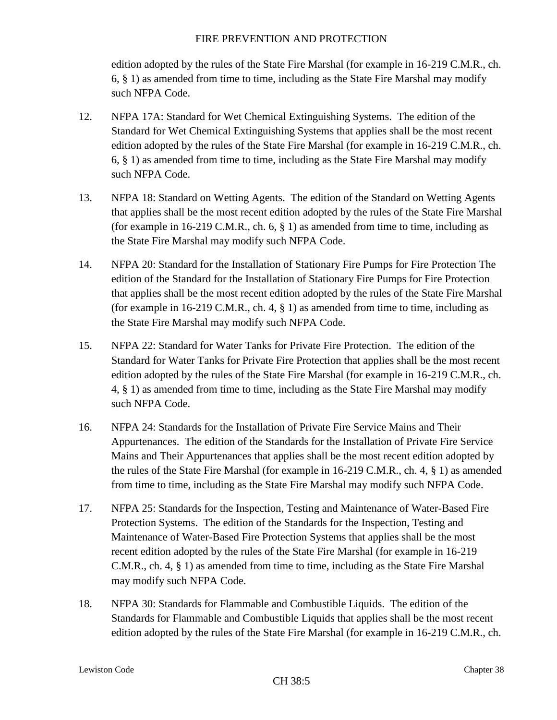edition adopted by the rules of the State Fire Marshal (for example in 16-219 C.M.R., ch. 6, § 1) as amended from time to time, including as the State Fire Marshal may modify such NFPA Code.

- 12. NFPA 17A: Standard for Wet Chemical Extinguishing Systems. The edition of the Standard for Wet Chemical Extinguishing Systems that applies shall be the most recent edition adopted by the rules of the State Fire Marshal (for example in 16-219 C.M.R., ch. 6, § 1) as amended from time to time, including as the State Fire Marshal may modify such NFPA Code.
- 13. NFPA 18: Standard on Wetting Agents. The edition of the Standard on Wetting Agents that applies shall be the most recent edition adopted by the rules of the State Fire Marshal (for example in 16-219 C.M.R., ch. 6,  $\S$  1) as amended from time to time, including as the State Fire Marshal may modify such NFPA Code.
- 14. NFPA 20: Standard for the Installation of Stationary Fire Pumps for Fire Protection The edition of the Standard for the Installation of Stationary Fire Pumps for Fire Protection that applies shall be the most recent edition adopted by the rules of the State Fire Marshal (for example in 16-219 C.M.R., ch. 4,  $\S$  1) as amended from time to time, including as the State Fire Marshal may modify such NFPA Code.
- 15. NFPA 22: Standard for Water Tanks for Private Fire Protection. The edition of the Standard for Water Tanks for Private Fire Protection that applies shall be the most recent edition adopted by the rules of the State Fire Marshal (for example in 16-219 C.M.R., ch. 4, § 1) as amended from time to time, including as the State Fire Marshal may modify such NFPA Code.
- 16. NFPA 24: Standards for the Installation of Private Fire Service Mains and Their Appurtenances. The edition of the Standards for the Installation of Private Fire Service Mains and Their Appurtenances that applies shall be the most recent edition adopted by the rules of the State Fire Marshal (for example in 16-219 C.M.R., ch. 4, § 1) as amended from time to time, including as the State Fire Marshal may modify such NFPA Code.
- 17. NFPA 25: Standards for the Inspection, Testing and Maintenance of Water-Based Fire Protection Systems. The edition of the Standards for the Inspection, Testing and Maintenance of Water-Based Fire Protection Systems that applies shall be the most recent edition adopted by the rules of the State Fire Marshal (for example in 16-219 C.M.R., ch. 4, § 1) as amended from time to time, including as the State Fire Marshal may modify such NFPA Code.
- 18. NFPA 30: Standards for Flammable and Combustible Liquids. The edition of the Standards for Flammable and Combustible Liquids that applies shall be the most recent edition adopted by the rules of the State Fire Marshal (for example in 16-219 C.M.R., ch.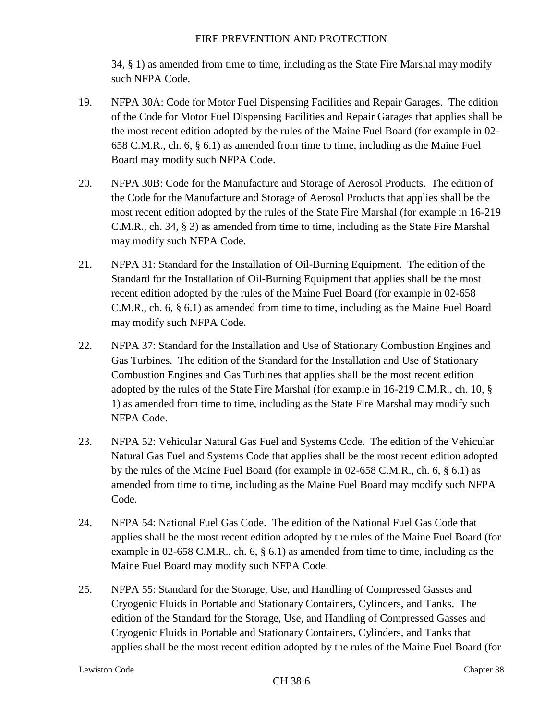34, § 1) as amended from time to time, including as the State Fire Marshal may modify such NFPA Code.

- 19. NFPA 30A: Code for Motor Fuel Dispensing Facilities and Repair Garages. The edition of the Code for Motor Fuel Dispensing Facilities and Repair Garages that applies shall be the most recent edition adopted by the rules of the Maine Fuel Board (for example in 02- 658 C.M.R., ch. 6, § 6.1) as amended from time to time, including as the Maine Fuel Board may modify such NFPA Code.
- 20. NFPA 30B: Code for the Manufacture and Storage of Aerosol Products. The edition of the Code for the Manufacture and Storage of Aerosol Products that applies shall be the most recent edition adopted by the rules of the State Fire Marshal (for example in 16-219 C.M.R., ch. 34, § 3) as amended from time to time, including as the State Fire Marshal may modify such NFPA Code.
- 21. NFPA 31: Standard for the Installation of Oil-Burning Equipment. The edition of the Standard for the Installation of Oil-Burning Equipment that applies shall be the most recent edition adopted by the rules of the Maine Fuel Board (for example in 02-658 C.M.R., ch. 6, § 6.1) as amended from time to time, including as the Maine Fuel Board may modify such NFPA Code.
- 22. NFPA 37: Standard for the Installation and Use of Stationary Combustion Engines and Gas Turbines. The edition of the Standard for the Installation and Use of Stationary Combustion Engines and Gas Turbines that applies shall be the most recent edition adopted by the rules of the State Fire Marshal (for example in 16-219 C.M.R., ch. 10, § 1) as amended from time to time, including as the State Fire Marshal may modify such NFPA Code.
- 23. NFPA 52: Vehicular Natural Gas Fuel and Systems Code. The edition of the Vehicular Natural Gas Fuel and Systems Code that applies shall be the most recent edition adopted by the rules of the Maine Fuel Board (for example in 02-658 C.M.R., ch. 6, § 6.1) as amended from time to time, including as the Maine Fuel Board may modify such NFPA Code.
- 24. NFPA 54: National Fuel Gas Code. The edition of the National Fuel Gas Code that applies shall be the most recent edition adopted by the rules of the Maine Fuel Board (for example in 02-658 C.M.R., ch. 6,  $\S$  6.1) as amended from time to time, including as the Maine Fuel Board may modify such NFPA Code.
- 25. NFPA 55: Standard for the Storage, Use, and Handling of Compressed Gasses and Cryogenic Fluids in Portable and Stationary Containers, Cylinders, and Tanks. The edition of the Standard for the Storage, Use, and Handling of Compressed Gasses and Cryogenic Fluids in Portable and Stationary Containers, Cylinders, and Tanks that applies shall be the most recent edition adopted by the rules of the Maine Fuel Board (for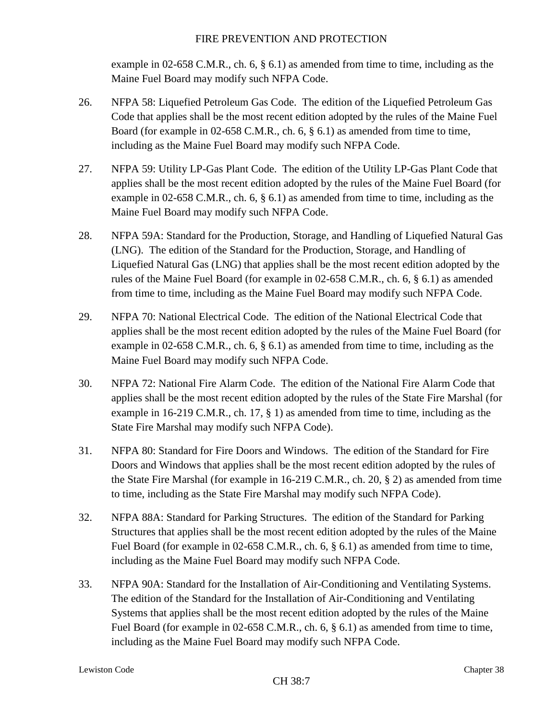example in 02-658 C.M.R., ch. 6, § 6.1) as amended from time to time, including as the Maine Fuel Board may modify such NFPA Code.

- 26. NFPA 58: Liquefied Petroleum Gas Code. The edition of the Liquefied Petroleum Gas Code that applies shall be the most recent edition adopted by the rules of the Maine Fuel Board (for example in 02-658 C.M.R., ch. 6, § 6.1) as amended from time to time, including as the Maine Fuel Board may modify such NFPA Code.
- 27. NFPA 59: Utility LP-Gas Plant Code. The edition of the Utility LP-Gas Plant Code that applies shall be the most recent edition adopted by the rules of the Maine Fuel Board (for example in 02-658 C.M.R., ch. 6, § 6.1) as amended from time to time, including as the Maine Fuel Board may modify such NFPA Code.
- 28. NFPA 59A: Standard for the Production, Storage, and Handling of Liquefied Natural Gas (LNG). The edition of the Standard for the Production, Storage, and Handling of Liquefied Natural Gas (LNG) that applies shall be the most recent edition adopted by the rules of the Maine Fuel Board (for example in 02-658 C.M.R., ch. 6, § 6.1) as amended from time to time, including as the Maine Fuel Board may modify such NFPA Code.
- 29. NFPA 70: National Electrical Code. The edition of the National Electrical Code that applies shall be the most recent edition adopted by the rules of the Maine Fuel Board (for example in 02-658 C.M.R., ch. 6, § 6.1) as amended from time to time, including as the Maine Fuel Board may modify such NFPA Code.
- 30. NFPA 72: National Fire Alarm Code. The edition of the National Fire Alarm Code that applies shall be the most recent edition adopted by the rules of the State Fire Marshal (for example in 16-219 C.M.R., ch. 17, § 1) as amended from time to time, including as the State Fire Marshal may modify such NFPA Code).
- 31. NFPA 80: Standard for Fire Doors and Windows. The edition of the Standard for Fire Doors and Windows that applies shall be the most recent edition adopted by the rules of the State Fire Marshal (for example in 16-219 C.M.R., ch. 20, § 2) as amended from time to time, including as the State Fire Marshal may modify such NFPA Code).
- 32. NFPA 88A: Standard for Parking Structures. The edition of the Standard for Parking Structures that applies shall be the most recent edition adopted by the rules of the Maine Fuel Board (for example in 02-658 C.M.R., ch. 6, § 6.1) as amended from time to time, including as the Maine Fuel Board may modify such NFPA Code.
- 33. NFPA 90A: Standard for the Installation of Air-Conditioning and Ventilating Systems. The edition of the Standard for the Installation of Air-Conditioning and Ventilating Systems that applies shall be the most recent edition adopted by the rules of the Maine Fuel Board (for example in 02-658 C.M.R., ch. 6,  $\S$  6.1) as amended from time to time, including as the Maine Fuel Board may modify such NFPA Code.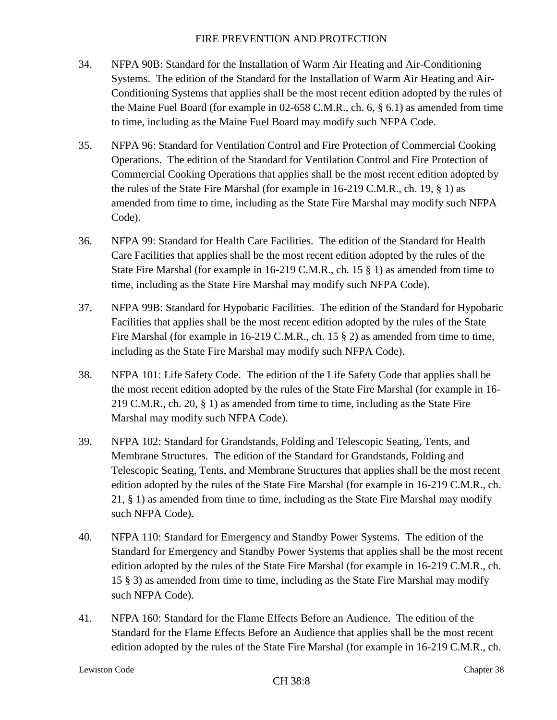- 34. NFPA 90B: Standard for the Installation of Warm Air Heating and Air-Conditioning Systems. The edition of the Standard for the Installation of Warm Air Heating and Air-Conditioning Systems that applies shall be the most recent edition adopted by the rules of the Maine Fuel Board (for example in 02-658 C.M.R., ch. 6, § 6.1) as amended from time to time, including as the Maine Fuel Board may modify such NFPA Code.
- 35. NFPA 96: Standard for Ventilation Control and Fire Protection of Commercial Cooking Operations. The edition of the Standard for Ventilation Control and Fire Protection of Commercial Cooking Operations that applies shall be the most recent edition adopted by the rules of the State Fire Marshal (for example in 16-219 C.M.R., ch. 19, § 1) as amended from time to time, including as the State Fire Marshal may modify such NFPA Code).
- 36. NFPA 99: Standard for Health Care Facilities. The edition of the Standard for Health Care Facilities that applies shall be the most recent edition adopted by the rules of the State Fire Marshal (for example in 16-219 C.M.R., ch. 15 § 1) as amended from time to time, including as the State Fire Marshal may modify such NFPA Code).
- 37. NFPA 99B: Standard for Hypobaric Facilities. The edition of the Standard for Hypobaric Facilities that applies shall be the most recent edition adopted by the rules of the State Fire Marshal (for example in 16-219 C.M.R., ch. 15 § 2) as amended from time to time, including as the State Fire Marshal may modify such NFPA Code).
- 38. NFPA 101: Life Safety Code. The edition of the Life Safety Code that applies shall be the most recent edition adopted by the rules of the State Fire Marshal (for example in 16- 219 C.M.R., ch. 20, § 1) as amended from time to time, including as the State Fire Marshal may modify such NFPA Code).
- 39. NFPA 102: Standard for Grandstands, Folding and Telescopic Seating, Tents, and Membrane Structures. The edition of the Standard for Grandstands, Folding and Telescopic Seating, Tents, and Membrane Structures that applies shall be the most recent edition adopted by the rules of the State Fire Marshal (for example in 16-219 C.M.R., ch. 21, § 1) as amended from time to time, including as the State Fire Marshal may modify such NFPA Code).
- 40. NFPA 110: Standard for Emergency and Standby Power Systems. The edition of the Standard for Emergency and Standby Power Systems that applies shall be the most recent edition adopted by the rules of the State Fire Marshal (for example in 16-219 C.M.R., ch. 15 § 3) as amended from time to time, including as the State Fire Marshal may modify such NFPA Code).
- 41. NFPA 160: Standard for the Flame Effects Before an Audience. The edition of the Standard for the Flame Effects Before an Audience that applies shall be the most recent edition adopted by the rules of the State Fire Marshal (for example in 16-219 C.M.R., ch.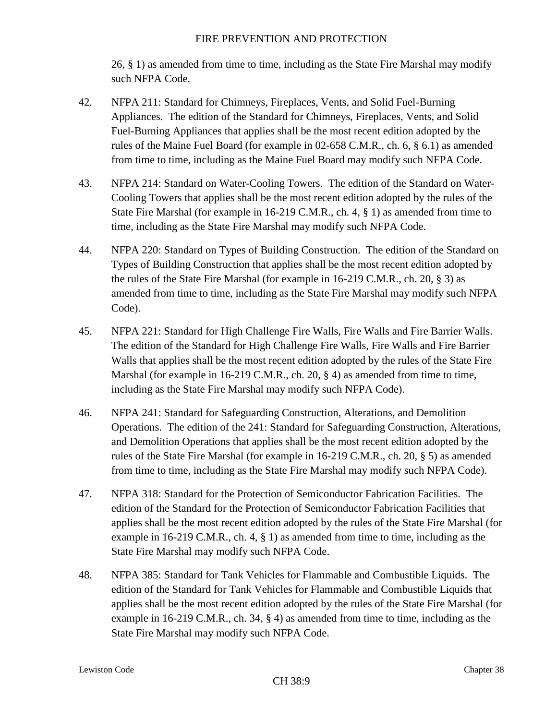26, § 1) as amended from time to time, including as the State Fire Marshal may modify such NFPA Code.

- 42. NFPA 211: Standard for Chimneys, Fireplaces, Vents, and Solid Fuel-Burning Appliances. The edition of the Standard for Chimneys, Fireplaces, Vents, and Solid Fuel-Burning Appliances that applies shall be the most recent edition adopted by the rules of the Maine Fuel Board (for example in 02-658 C.M.R., ch. 6, § 6.1) as amended from time to time, including as the Maine Fuel Board may modify such NFPA Code.
- 43. NFPA 214: Standard on Water-Cooling Towers. The edition of the Standard on Water-Cooling Towers that applies shall be the most recent edition adopted by the rules of the State Fire Marshal (for example in 16-219 C.M.R., ch. 4, § 1) as amended from time to time, including as the State Fire Marshal may modify such NFPA Code.
- 44. NFPA 220: Standard on Types of Building Construction. The edition of the Standard on Types of Building Construction that applies shall be the most recent edition adopted by the rules of the State Fire Marshal (for example in 16-219 C.M.R., ch. 20, § 3) as amended from time to time, including as the State Fire Marshal may modify such NFPA Code).
- 45. NFPA 221: Standard for High Challenge Fire Walls, Fire Walls and Fire Barrier Walls. The edition of the Standard for High Challenge Fire Walls, Fire Walls and Fire Barrier Walls that applies shall be the most recent edition adopted by the rules of the State Fire Marshal (for example in 16-219 C.M.R., ch. 20, § 4) as amended from time to time, including as the State Fire Marshal may modify such NFPA Code).
- 46. NFPA 241: Standard for Safeguarding Construction, Alterations, and Demolition Operations. The edition of the 241: Standard for Safeguarding Construction, Alterations, and Demolition Operations that applies shall be the most recent edition adopted by the rules of the State Fire Marshal (for example in 16-219 C.M.R., ch. 20, § 5) as amended from time to time, including as the State Fire Marshal may modify such NFPA Code).
- 47. NFPA 318: Standard for the Protection of Semiconductor Fabrication Facilities. The edition of the Standard for the Protection of Semiconductor Fabrication Facilities that applies shall be the most recent edition adopted by the rules of the State Fire Marshal (for example in 16-219 C.M.R., ch. 4, § 1) as amended from time to time, including as the State Fire Marshal may modify such NFPA Code.
- 48. NFPA 385: Standard for Tank Vehicles for Flammable and Combustible Liquids. The edition of the Standard for Tank Vehicles for Flammable and Combustible Liquids that applies shall be the most recent edition adopted by the rules of the State Fire Marshal (for example in 16-219 C.M.R., ch. 34, § 4) as amended from time to time, including as the State Fire Marshal may modify such NFPA Code.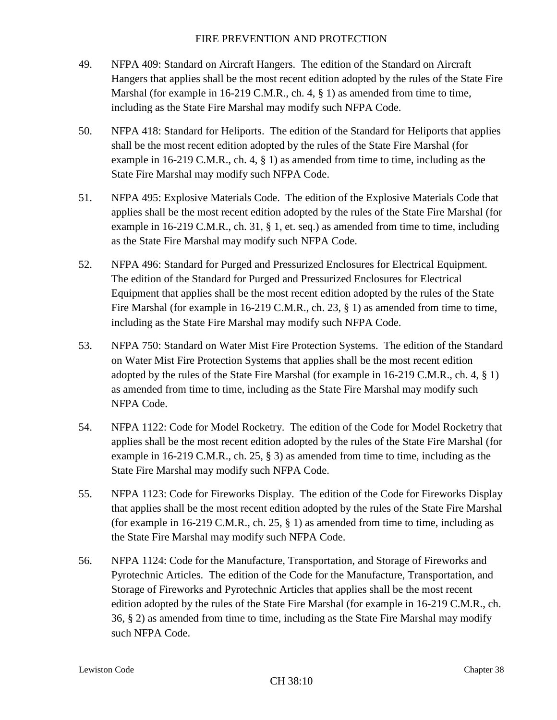- 49. NFPA 409: Standard on Aircraft Hangers. The edition of the Standard on Aircraft Hangers that applies shall be the most recent edition adopted by the rules of the State Fire Marshal (for example in 16-219 C.M.R., ch. 4,  $\S$  1) as amended from time to time, including as the State Fire Marshal may modify such NFPA Code.
- 50. NFPA 418: Standard for Heliports. The edition of the Standard for Heliports that applies shall be the most recent edition adopted by the rules of the State Fire Marshal (for example in 16-219 C.M.R., ch. 4, § 1) as amended from time to time, including as the State Fire Marshal may modify such NFPA Code.
- 51. NFPA 495: Explosive Materials Code. The edition of the Explosive Materials Code that applies shall be the most recent edition adopted by the rules of the State Fire Marshal (for example in 16-219 C.M.R., ch. 31, § 1, et. seq.) as amended from time to time, including as the State Fire Marshal may modify such NFPA Code.
- 52. NFPA 496: Standard for Purged and Pressurized Enclosures for Electrical Equipment. The edition of the Standard for Purged and Pressurized Enclosures for Electrical Equipment that applies shall be the most recent edition adopted by the rules of the State Fire Marshal (for example in 16-219 C.M.R., ch. 23, § 1) as amended from time to time, including as the State Fire Marshal may modify such NFPA Code.
- 53. NFPA 750: Standard on Water Mist Fire Protection Systems. The edition of the Standard on Water Mist Fire Protection Systems that applies shall be the most recent edition adopted by the rules of the State Fire Marshal (for example in 16-219 C.M.R., ch. 4, § 1) as amended from time to time, including as the State Fire Marshal may modify such NFPA Code.
- 54. NFPA 1122: Code for Model Rocketry. The edition of the Code for Model Rocketry that applies shall be the most recent edition adopted by the rules of the State Fire Marshal (for example in 16-219 C.M.R., ch. 25, § 3) as amended from time to time, including as the State Fire Marshal may modify such NFPA Code.
- 55. NFPA 1123: Code for Fireworks Display. The edition of the Code for Fireworks Display that applies shall be the most recent edition adopted by the rules of the State Fire Marshal (for example in 16-219 C.M.R., ch. 25,  $\S$  1) as amended from time to time, including as the State Fire Marshal may modify such NFPA Code.
- 56. NFPA 1124: Code for the Manufacture, Transportation, and Storage of Fireworks and Pyrotechnic Articles. The edition of the Code for the Manufacture, Transportation, and Storage of Fireworks and Pyrotechnic Articles that applies shall be the most recent edition adopted by the rules of the State Fire Marshal (for example in 16-219 C.M.R., ch. 36, § 2) as amended from time to time, including as the State Fire Marshal may modify such NFPA Code.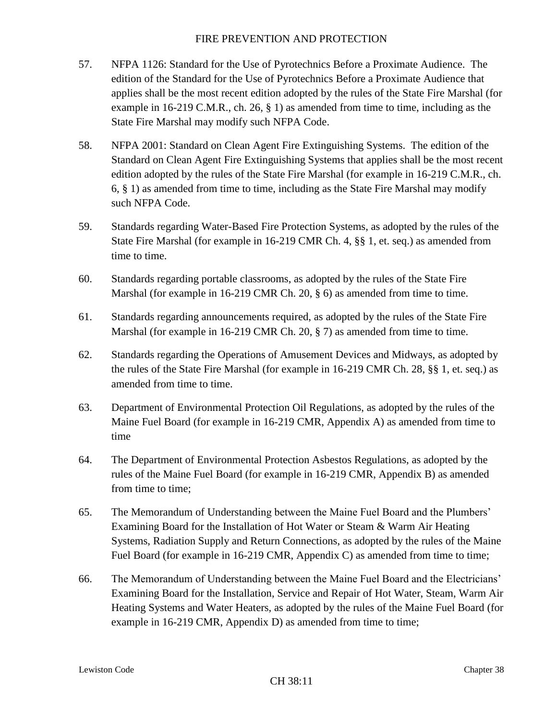- 57. NFPA 1126: Standard for the Use of Pyrotechnics Before a Proximate Audience. The edition of the Standard for the Use of Pyrotechnics Before a Proximate Audience that applies shall be the most recent edition adopted by the rules of the State Fire Marshal (for example in 16-219 C.M.R., ch. 26,  $\S$  1) as amended from time to time, including as the State Fire Marshal may modify such NFPA Code.
- 58. NFPA 2001: Standard on Clean Agent Fire Extinguishing Systems. The edition of the Standard on Clean Agent Fire Extinguishing Systems that applies shall be the most recent edition adopted by the rules of the State Fire Marshal (for example in 16-219 C.M.R., ch. 6, § 1) as amended from time to time, including as the State Fire Marshal may modify such NFPA Code.
- 59. Standards regarding Water-Based Fire Protection Systems, as adopted by the rules of the State Fire Marshal (for example in 16-219 CMR Ch. 4, §§ 1, et. seq.) as amended from time to time.
- 60. Standards regarding portable classrooms, as adopted by the rules of the State Fire Marshal (for example in 16-219 CMR Ch. 20, § 6) as amended from time to time.
- 61. Standards regarding announcements required, as adopted by the rules of the State Fire Marshal (for example in 16-219 CMR Ch. 20, § 7) as amended from time to time.
- 62. Standards regarding the Operations of Amusement Devices and Midways, as adopted by the rules of the State Fire Marshal (for example in 16-219 CMR Ch. 28, §§ 1, et. seq.) as amended from time to time.
- 63. Department of Environmental Protection Oil Regulations, as adopted by the rules of the Maine Fuel Board (for example in 16-219 CMR, Appendix A) as amended from time to time
- 64. The Department of Environmental Protection Asbestos Regulations, as adopted by the rules of the Maine Fuel Board (for example in 16-219 CMR, Appendix B) as amended from time to time;
- 65. The Memorandum of Understanding between the Maine Fuel Board and the Plumbers' Examining Board for the Installation of Hot Water or Steam & Warm Air Heating Systems, Radiation Supply and Return Connections, as adopted by the rules of the Maine Fuel Board (for example in 16-219 CMR, Appendix C) as amended from time to time;
- 66. The Memorandum of Understanding between the Maine Fuel Board and the Electricians' Examining Board for the Installation, Service and Repair of Hot Water, Steam, Warm Air Heating Systems and Water Heaters, as adopted by the rules of the Maine Fuel Board (for example in 16-219 CMR, Appendix D) as amended from time to time;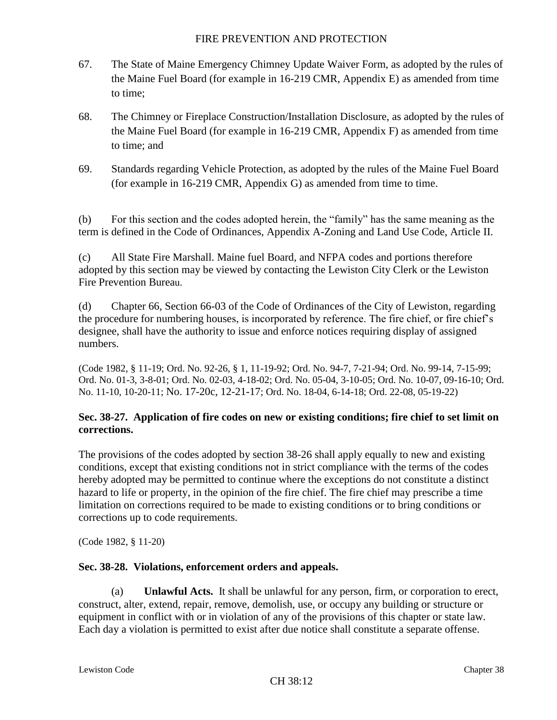- 67. The State of Maine Emergency Chimney Update Waiver Form, as adopted by the rules of the Maine Fuel Board (for example in 16-219 CMR, Appendix E) as amended from time to time;
- 68. The Chimney or Fireplace Construction/Installation Disclosure, as adopted by the rules of the Maine Fuel Board (for example in 16-219 CMR, Appendix F) as amended from time to time; and
- 69. Standards regarding Vehicle Protection, as adopted by the rules of the Maine Fuel Board (for example in 16-219 CMR, Appendix G) as amended from time to time.

(b) For this section and the codes adopted herein, the "family" has the same meaning as the term is defined in the Code of Ordinances, Appendix A-Zoning and Land Use Code, Article II.

(c) All State Fire Marshall. Maine fuel Board, and NFPA codes and portions therefore adopted by this section may be viewed by contacting the Lewiston City Clerk or the Lewiston Fire Prevention Bureau.

(d) Chapter 66, Section 66-03 of the Code of Ordinances of the City of Lewiston, regarding the procedure for numbering houses, is incorporated by reference. The fire chief, or fire chief's designee, shall have the authority to issue and enforce notices requiring display of assigned numbers.

(Code 1982, § 11-19; Ord. No. 92-26, § 1, 11-19-92; Ord. No. 94-7, 7-21-94; Ord. No. 99-14, 7-15-99; Ord. No. 01-3, 3-8-01; Ord. No. 02-03, 4-18-02; Ord. No. 05-04, 3-10-05; Ord. No. 10-07, 09-16-10; Ord. No. 11-10, 10-20-11; No. 17-20c, 12-21-17; Ord. No. 18-04, 6-14-18; Ord. 22-08, 05-19-22)

# **Sec. 38-27. Application of fire codes on new or existing conditions; fire chief to set limit on corrections.**

The provisions of the codes adopted by section 38-26 shall apply equally to new and existing conditions, except that existing conditions not in strict compliance with the terms of the codes hereby adopted may be permitted to continue where the exceptions do not constitute a distinct hazard to life or property, in the opinion of the fire chief. The fire chief may prescribe a time limitation on corrections required to be made to existing conditions or to bring conditions or corrections up to code requirements.

(Code 1982, § 11-20)

# **Sec. 38-28. Violations, enforcement orders and appeals.**

(a) **Unlawful Acts.** It shall be unlawful for any person, firm, or corporation to erect, construct, alter, extend, repair, remove, demolish, use, or occupy any building or structure or equipment in conflict with or in violation of any of the provisions of this chapter or state law. Each day a violation is permitted to exist after due notice shall constitute a separate offense.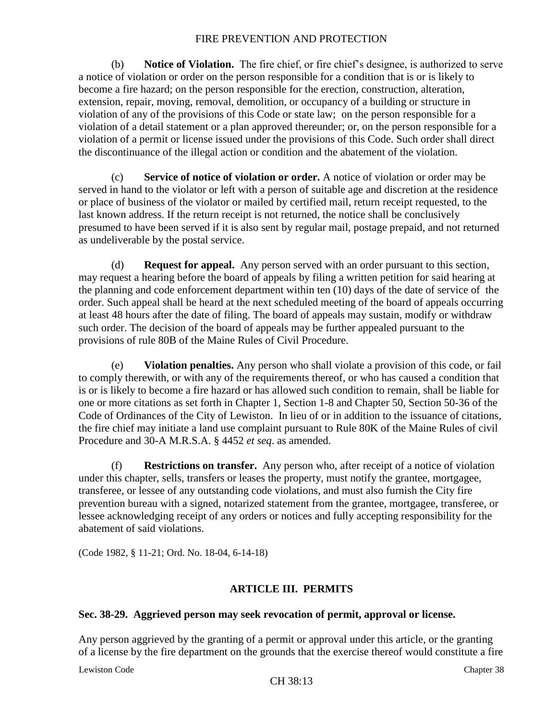(b) **Notice of Violation.** The fire chief, or fire chief's designee, is authorized to serve a notice of violation or order on the person responsible for a condition that is or is likely to become a fire hazard; on the person responsible for the erection, construction, alteration, extension, repair, moving, removal, demolition, or occupancy of a building or structure in violation of any of the provisions of this Code or state law; on the person responsible for a violation of a detail statement or a plan approved thereunder; or, on the person responsible for a violation of a permit or license issued under the provisions of this Code. Such order shall direct the discontinuance of the illegal action or condition and the abatement of the violation.

(c) **Service of notice of violation or order.** A notice of violation or order may be served in hand to the violator or left with a person of suitable age and discretion at the residence or place of business of the violator or mailed by certified mail, return receipt requested, to the last known address. If the return receipt is not returned, the notice shall be conclusively presumed to have been served if it is also sent by regular mail, postage prepaid, and not returned as undeliverable by the postal service.

(d) **Request for appeal.** Any person served with an order pursuant to this section, may request a hearing before the board of appeals by filing a written petition for said hearing at the planning and code enforcement department within ten (10) days of the date of service of the order. Such appeal shall be heard at the next scheduled meeting of the board of appeals occurring at least 48 hours after the date of filing. The board of appeals may sustain, modify or withdraw such order. The decision of the board of appeals may be further appealed pursuant to the provisions of rule 80B of the Maine Rules of Civil Procedure.

(e) **Violation penalties.** Any person who shall violate a provision of this code, or fail to comply therewith, or with any of the requirements thereof, or who has caused a condition that is or is likely to become a fire hazard or has allowed such condition to remain, shall be liable for one or more citations as set forth in Chapter 1, Section 1-8 and Chapter 50, Section 50-36 of the Code of Ordinances of the City of Lewiston. In lieu of or in addition to the issuance of citations, the fire chief may initiate a land use complaint pursuant to Rule 80K of the Maine Rules of civil Procedure and 30-A M.R.S.A. § 4452 *et seq*. as amended.

(f) **Restrictions on transfer.** Any person who, after receipt of a notice of violation under this chapter, sells, transfers or leases the property, must notify the grantee, mortgagee, transferee, or lessee of any outstanding code violations, and must also furnish the City fire prevention bureau with a signed, notarized statement from the grantee, mortgagee, transferee, or lessee acknowledging receipt of any orders or notices and fully accepting responsibility for the abatement of said violations.

(Code 1982, § 11-21; Ord. No. 18-04, 6-14-18)

# **ARTICLE III. PERMITS**

### **Sec. 38-29. Aggrieved person may seek revocation of permit, approval or license.**

Any person aggrieved by the granting of a permit or approval under this article, or the granting of a license by the fire department on the grounds that the exercise thereof would constitute a fire

Lewiston Code Chapter 38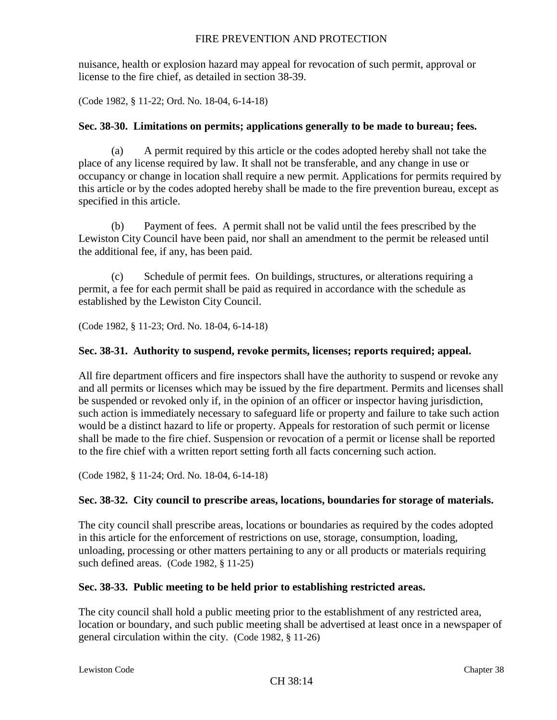nuisance, health or explosion hazard may appeal for revocation of such permit, approval or license to the fire chief, as detailed in section 38-39.

(Code 1982, § 11-22; Ord. No. 18-04, 6-14-18)

# **Sec. 38-30. Limitations on permits; applications generally to be made to bureau; fees.**

(a) A permit required by this article or the codes adopted hereby shall not take the place of any license required by law. It shall not be transferable, and any change in use or occupancy or change in location shall require a new permit. Applications for permits required by this article or by the codes adopted hereby shall be made to the fire prevention bureau, except as specified in this article.

(b) Payment of fees. A permit shall not be valid until the fees prescribed by the Lewiston City Council have been paid, nor shall an amendment to the permit be released until the additional fee, if any, has been paid.

(c) Schedule of permit fees. On buildings, structures, or alterations requiring a permit, a fee for each permit shall be paid as required in accordance with the schedule as established by the Lewiston City Council.

(Code 1982, § 11-23; Ord. No. 18-04, 6-14-18)

## **Sec. 38-31. Authority to suspend, revoke permits, licenses; reports required; appeal.**

All fire department officers and fire inspectors shall have the authority to suspend or revoke any and all permits or licenses which may be issued by the fire department. Permits and licenses shall be suspended or revoked only if, in the opinion of an officer or inspector having jurisdiction, such action is immediately necessary to safeguard life or property and failure to take such action would be a distinct hazard to life or property. Appeals for restoration of such permit or license shall be made to the fire chief. Suspension or revocation of a permit or license shall be reported to the fire chief with a written report setting forth all facts concerning such action.

(Code 1982, § 11-24; Ord. No. 18-04, 6-14-18)

# **Sec. 38-32. City council to prescribe areas, locations, boundaries for storage of materials.**

The city council shall prescribe areas, locations or boundaries as required by the codes adopted in this article for the enforcement of restrictions on use, storage, consumption, loading, unloading, processing or other matters pertaining to any or all products or materials requiring such defined areas. (Code 1982, § 11-25)

### **Sec. 38-33. Public meeting to be held prior to establishing restricted areas.**

The city council shall hold a public meeting prior to the establishment of any restricted area, location or boundary, and such public meeting shall be advertised at least once in a newspaper of general circulation within the city. (Code 1982, § 11-26)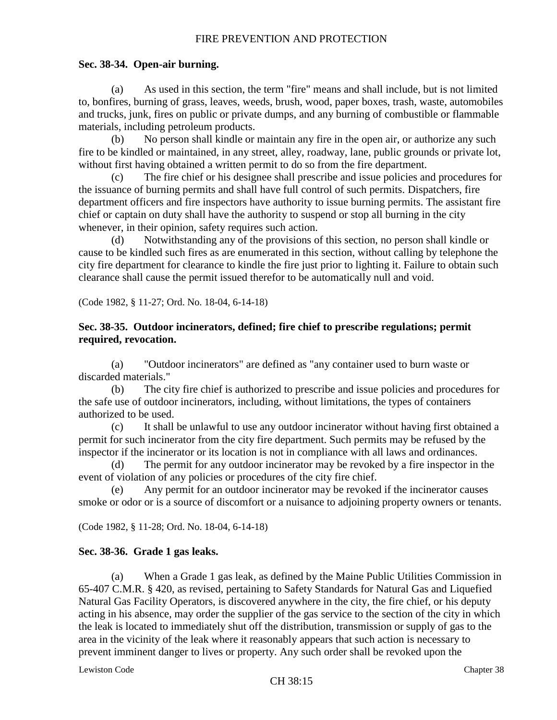# **Sec. 38-34. Open-air burning.**

(a) As used in this section, the term "fire" means and shall include, but is not limited to, bonfires, burning of grass, leaves, weeds, brush, wood, paper boxes, trash, waste, automobiles and trucks, junk, fires on public or private dumps, and any burning of combustible or flammable materials, including petroleum products.

(b) No person shall kindle or maintain any fire in the open air, or authorize any such fire to be kindled or maintained, in any street, alley, roadway, lane, public grounds or private lot, without first having obtained a written permit to do so from the fire department.

(c) The fire chief or his designee shall prescribe and issue policies and procedures for the issuance of burning permits and shall have full control of such permits. Dispatchers, fire department officers and fire inspectors have authority to issue burning permits. The assistant fire chief or captain on duty shall have the authority to suspend or stop all burning in the city whenever, in their opinion, safety requires such action.

(d) Notwithstanding any of the provisions of this section, no person shall kindle or cause to be kindled such fires as are enumerated in this section, without calling by telephone the city fire department for clearance to kindle the fire just prior to lighting it. Failure to obtain such clearance shall cause the permit issued therefor to be automatically null and void.

(Code 1982, § 11-27; Ord. No. 18-04, 6-14-18)

# **Sec. 38-35. Outdoor incinerators, defined; fire chief to prescribe regulations; permit required, revocation.**

(a) "Outdoor incinerators" are defined as "any container used to burn waste or discarded materials."

(b) The city fire chief is authorized to prescribe and issue policies and procedures for the safe use of outdoor incinerators, including, without limitations, the types of containers authorized to be used.

(c) It shall be unlawful to use any outdoor incinerator without having first obtained a permit for such incinerator from the city fire department. Such permits may be refused by the inspector if the incinerator or its location is not in compliance with all laws and ordinances.

(d) The permit for any outdoor incinerator may be revoked by a fire inspector in the event of violation of any policies or procedures of the city fire chief.

(e) Any permit for an outdoor incinerator may be revoked if the incinerator causes smoke or odor or is a source of discomfort or a nuisance to adjoining property owners or tenants.

(Code 1982, § 11-28; Ord. No. 18-04, 6-14-18)

# **Sec. 38-36. Grade 1 gas leaks.**

(a) When a Grade 1 gas leak, as defined by the Maine Public Utilities Commission in 65-407 C.M.R. § 420, as revised, pertaining to Safety Standards for Natural Gas and Liquefied Natural Gas Facility Operators, is discovered anywhere in the city, the fire chief, or his deputy acting in his absence, may order the supplier of the gas service to the section of the city in which the leak is located to immediately shut off the distribution, transmission or supply of gas to the area in the vicinity of the leak where it reasonably appears that such action is necessary to prevent imminent danger to lives or property. Any such order shall be revoked upon the

Lewiston Code Chapter 38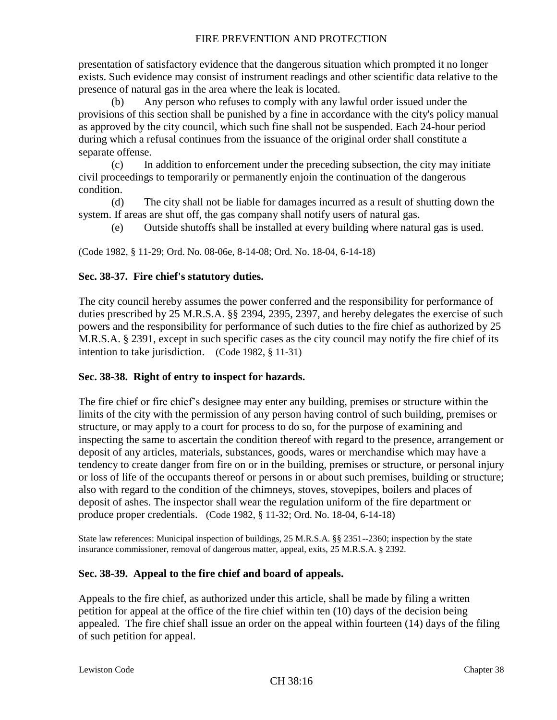presentation of satisfactory evidence that the dangerous situation which prompted it no longer exists. Such evidence may consist of instrument readings and other scientific data relative to the presence of natural gas in the area where the leak is located.

(b) Any person who refuses to comply with any lawful order issued under the provisions of this section shall be punished by a fine in accordance with the city's policy manual as approved by the city council, which such fine shall not be suspended. Each 24-hour period during which a refusal continues from the issuance of the original order shall constitute a separate offense.

(c) In addition to enforcement under the preceding subsection, the city may initiate civil proceedings to temporarily or permanently enjoin the continuation of the dangerous condition.

(d) The city shall not be liable for damages incurred as a result of shutting down the system. If areas are shut off, the gas company shall notify users of natural gas.

(e) Outside shutoffs shall be installed at every building where natural gas is used.

(Code 1982, § 11-29; Ord. No. 08-06e, 8-14-08; Ord. No. 18-04, 6-14-18)

# **Sec. 38-37. Fire chief's statutory duties.**

The city council hereby assumes the power conferred and the responsibility for performance of duties prescribed by 25 M.R.S.A. §§ 2394, 2395, 2397, and hereby delegates the exercise of such powers and the responsibility for performance of such duties to the fire chief as authorized by 25 M.R.S.A. § 2391, except in such specific cases as the city council may notify the fire chief of its intention to take jurisdiction. (Code 1982, § 11-31)

# **Sec. 38-38. Right of entry to inspect for hazards.**

The fire chief or fire chief's designee may enter any building, premises or structure within the limits of the city with the permission of any person having control of such building, premises or structure, or may apply to a court for process to do so, for the purpose of examining and inspecting the same to ascertain the condition thereof with regard to the presence, arrangement or deposit of any articles, materials, substances, goods, wares or merchandise which may have a tendency to create danger from fire on or in the building, premises or structure, or personal injury or loss of life of the occupants thereof or persons in or about such premises, building or structure; also with regard to the condition of the chimneys, stoves, stovepipes, boilers and places of deposit of ashes. The inspector shall wear the regulation uniform of the fire department or produce proper credentials. (Code 1982, § 11-32; Ord. No. 18-04, 6-14-18)

State law references: Municipal inspection of buildings, 25 M.R.S.A. §§ 2351--2360; inspection by the state insurance commissioner, removal of dangerous matter, appeal, exits, 25 M.R.S.A. § 2392.

# **Sec. 38-39. Appeal to the fire chief and board of appeals.**

Appeals to the fire chief, as authorized under this article, shall be made by filing a written petition for appeal at the office of the fire chief within ten (10) days of the decision being appealed. The fire chief shall issue an order on the appeal within fourteen (14) days of the filing of such petition for appeal.